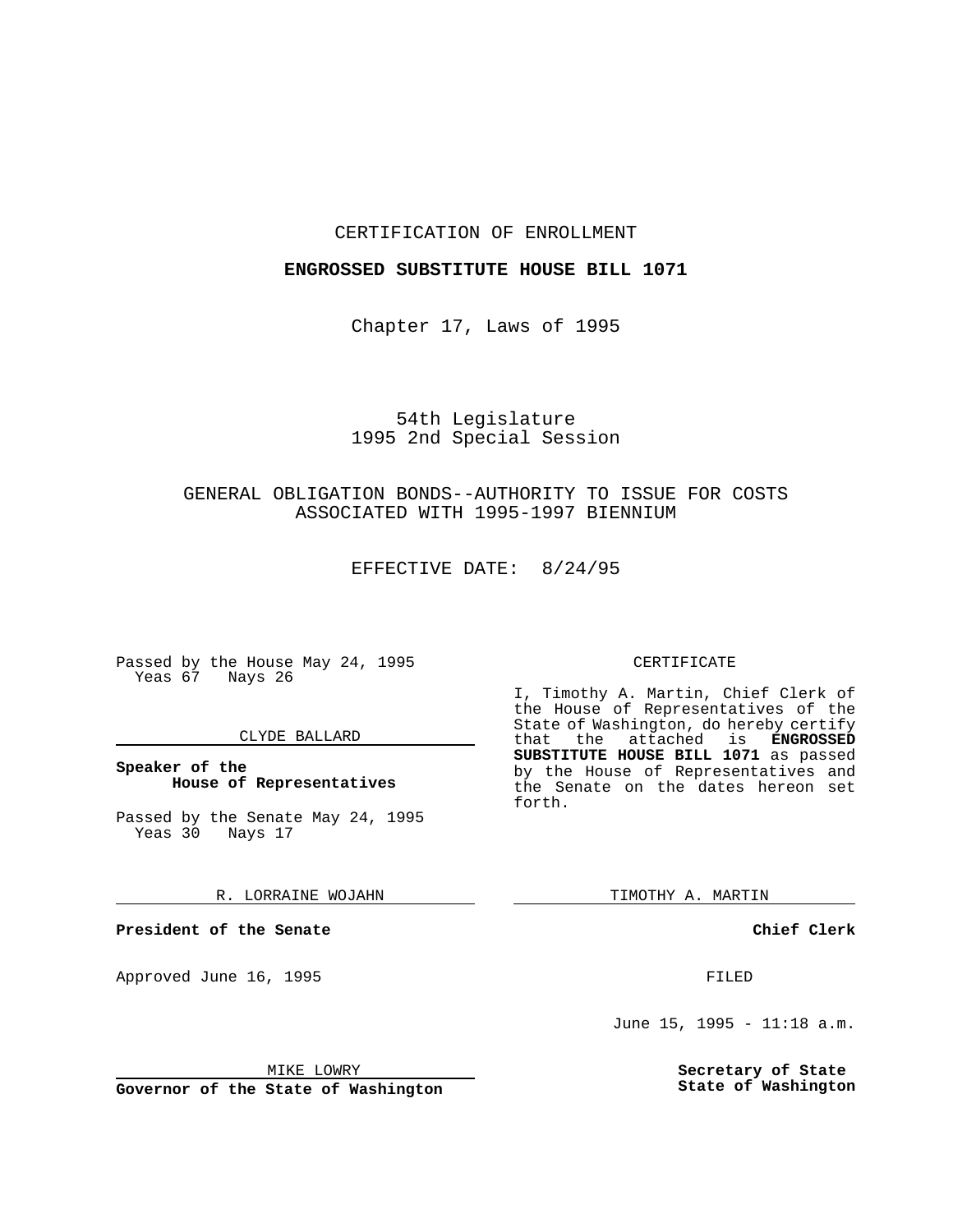#### CERTIFICATION OF ENROLLMENT

### **ENGROSSED SUBSTITUTE HOUSE BILL 1071**

Chapter 17, Laws of 1995

## 54th Legislature 1995 2nd Special Session

# GENERAL OBLIGATION BONDS--AUTHORITY TO ISSUE FOR COSTS ASSOCIATED WITH 1995-1997 BIENNIUM

EFFECTIVE DATE: 8/24/95

Passed by the House May 24, 1995 Yeas 67 Nays 26

#### CLYDE BALLARD

#### **Speaker of the House of Representatives**

Passed by the Senate May 24, 1995 Yeas 30 Nays 17

#### R. LORRAINE WOJAHN

**President of the Senate**

Approved June 16, 1995 FILED

## CERTIFICATE

I, Timothy A. Martin, Chief Clerk of the House of Representatives of the State of Washington, do hereby certify that the attached is **ENGROSSED SUBSTITUTE HOUSE BILL 1071** as passed by the House of Representatives and the Senate on the dates hereon set forth.

TIMOTHY A. MARTIN

**Chief Clerk**

June 15, 1995 - 11:18 a.m.

**Secretary of State State of Washington**

MIKE LOWRY

**Governor of the State of Washington**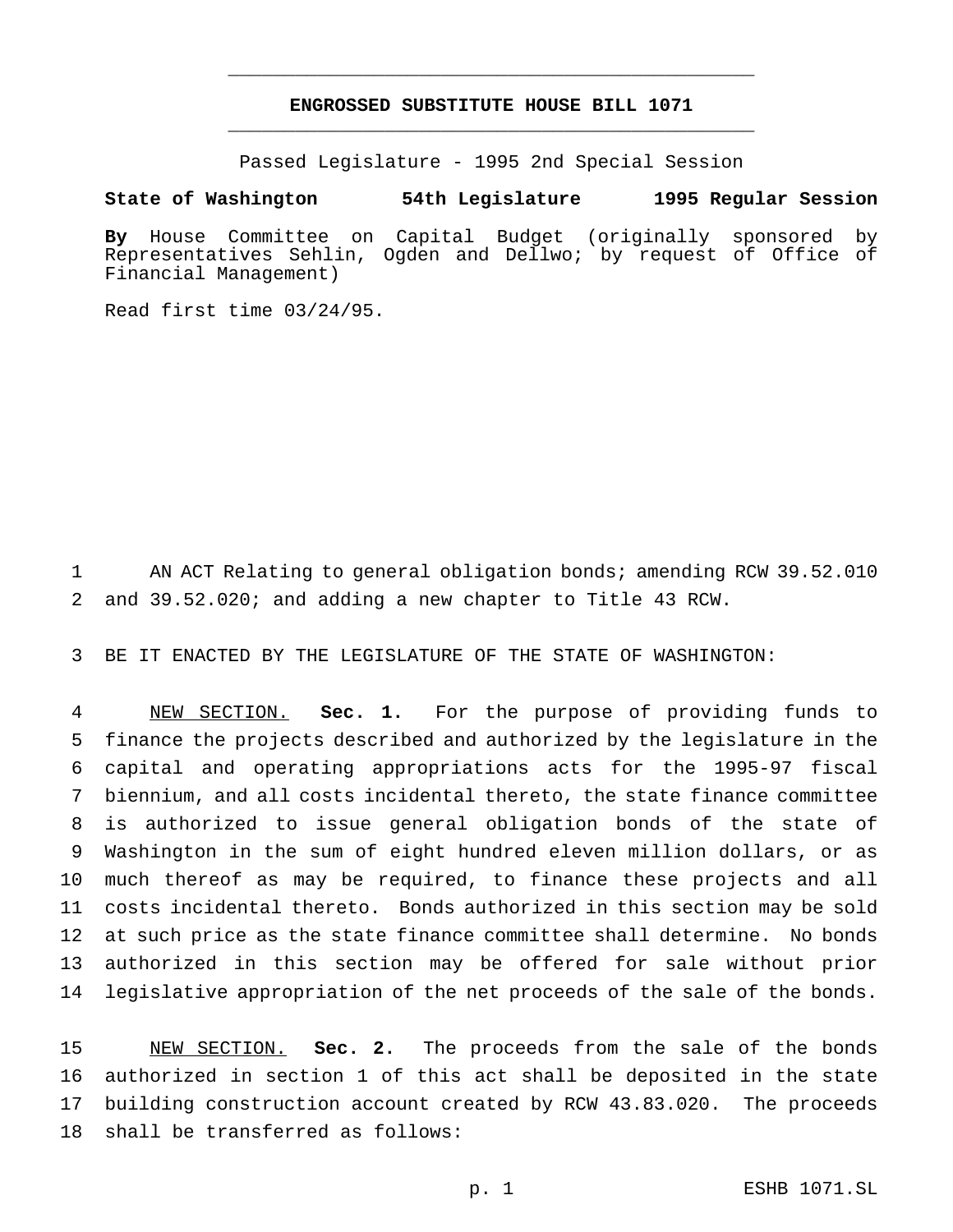# **ENGROSSED SUBSTITUTE HOUSE BILL 1071** \_\_\_\_\_\_\_\_\_\_\_\_\_\_\_\_\_\_\_\_\_\_\_\_\_\_\_\_\_\_\_\_\_\_\_\_\_\_\_\_\_\_\_\_\_\_\_

\_\_\_\_\_\_\_\_\_\_\_\_\_\_\_\_\_\_\_\_\_\_\_\_\_\_\_\_\_\_\_\_\_\_\_\_\_\_\_\_\_\_\_\_\_\_\_

Passed Legislature - 1995 2nd Special Session

#### **State of Washington 54th Legislature 1995 Regular Session**

**By** House Committee on Capital Budget (originally sponsored by Representatives Sehlin, Ogden and Dellwo; by request of Office of Financial Management)

Read first time 03/24/95.

 AN ACT Relating to general obligation bonds; amending RCW 39.52.010 and 39.52.020; and adding a new chapter to Title 43 RCW.

BE IT ENACTED BY THE LEGISLATURE OF THE STATE OF WASHINGTON:

 NEW SECTION. **Sec. 1.** For the purpose of providing funds to finance the projects described and authorized by the legislature in the capital and operating appropriations acts for the 1995-97 fiscal biennium, and all costs incidental thereto, the state finance committee is authorized to issue general obligation bonds of the state of Washington in the sum of eight hundred eleven million dollars, or as much thereof as may be required, to finance these projects and all costs incidental thereto. Bonds authorized in this section may be sold at such price as the state finance committee shall determine. No bonds authorized in this section may be offered for sale without prior legislative appropriation of the net proceeds of the sale of the bonds.

 NEW SECTION. **Sec. 2.** The proceeds from the sale of the bonds authorized in section 1 of this act shall be deposited in the state building construction account created by RCW 43.83.020. The proceeds shall be transferred as follows: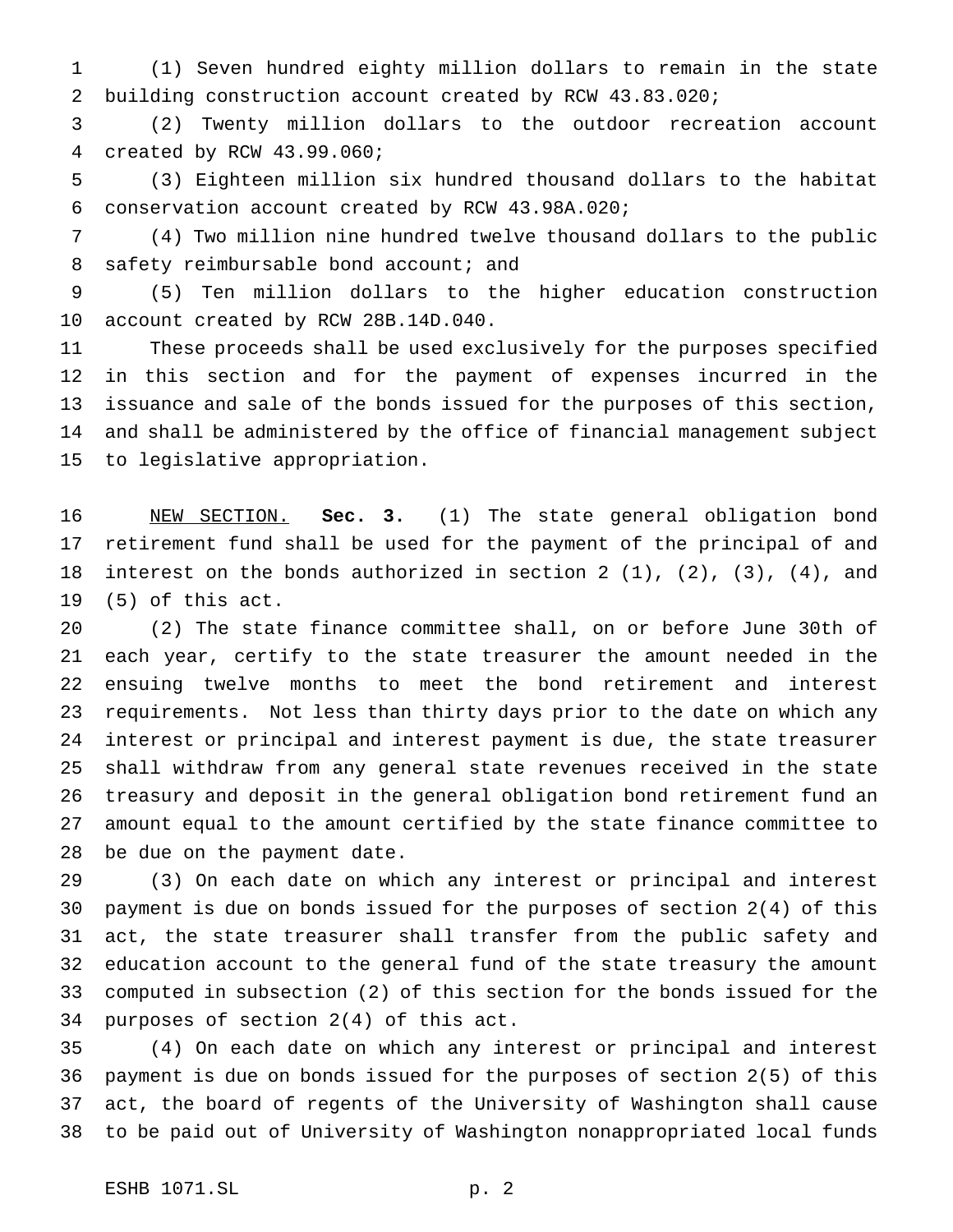(1) Seven hundred eighty million dollars to remain in the state building construction account created by RCW 43.83.020;

 (2) Twenty million dollars to the outdoor recreation account created by RCW 43.99.060;

 (3) Eighteen million six hundred thousand dollars to the habitat conservation account created by RCW 43.98A.020;

 (4) Two million nine hundred twelve thousand dollars to the public 8 safety reimbursable bond account; and

 (5) Ten million dollars to the higher education construction account created by RCW 28B.14D.040.

 These proceeds shall be used exclusively for the purposes specified in this section and for the payment of expenses incurred in the issuance and sale of the bonds issued for the purposes of this section, and shall be administered by the office of financial management subject to legislative appropriation.

 NEW SECTION. **Sec. 3.** (1) The state general obligation bond retirement fund shall be used for the payment of the principal of and interest on the bonds authorized in section 2 (1), (2), (3), (4), and (5) of this act.

 (2) The state finance committee shall, on or before June 30th of each year, certify to the state treasurer the amount needed in the ensuing twelve months to meet the bond retirement and interest requirements. Not less than thirty days prior to the date on which any interest or principal and interest payment is due, the state treasurer shall withdraw from any general state revenues received in the state treasury and deposit in the general obligation bond retirement fund an amount equal to the amount certified by the state finance committee to be due on the payment date.

 (3) On each date on which any interest or principal and interest payment is due on bonds issued for the purposes of section 2(4) of this act, the state treasurer shall transfer from the public safety and education account to the general fund of the state treasury the amount computed in subsection (2) of this section for the bonds issued for the purposes of section 2(4) of this act.

 (4) On each date on which any interest or principal and interest payment is due on bonds issued for the purposes of section 2(5) of this act, the board of regents of the University of Washington shall cause to be paid out of University of Washington nonappropriated local funds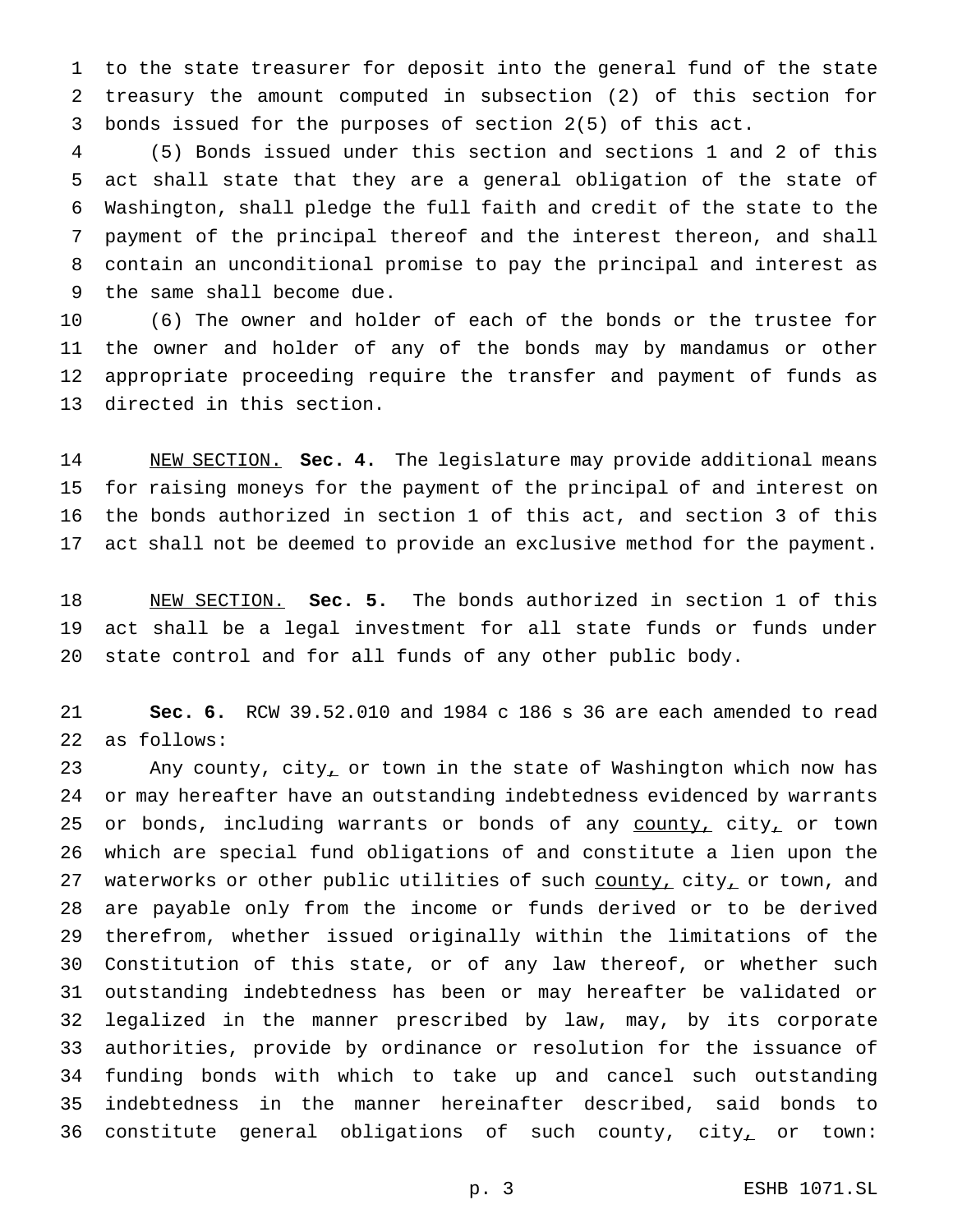to the state treasurer for deposit into the general fund of the state treasury the amount computed in subsection (2) of this section for bonds issued for the purposes of section 2(5) of this act.

 (5) Bonds issued under this section and sections 1 and 2 of this act shall state that they are a general obligation of the state of Washington, shall pledge the full faith and credit of the state to the payment of the principal thereof and the interest thereon, and shall contain an unconditional promise to pay the principal and interest as the same shall become due.

 (6) The owner and holder of each of the bonds or the trustee for the owner and holder of any of the bonds may by mandamus or other appropriate proceeding require the transfer and payment of funds as directed in this section.

 NEW SECTION. **Sec. 4.** The legislature may provide additional means for raising moneys for the payment of the principal of and interest on the bonds authorized in section 1 of this act, and section 3 of this act shall not be deemed to provide an exclusive method for the payment.

 NEW SECTION. **Sec. 5.** The bonds authorized in section 1 of this act shall be a legal investment for all state funds or funds under state control and for all funds of any other public body.

 **Sec. 6.** RCW 39.52.010 and 1984 c 186 s 36 are each amended to read as follows:

23 Any county, city<sub>1</sub> or town in the state of Washington which now has or may hereafter have an outstanding indebtedness evidenced by warrants 25 or bonds, including warrants or bonds of any county, city, or town which are special fund obligations of and constitute a lien upon the 27 waterworks or other public utilities of such county, city, or town, and are payable only from the income or funds derived or to be derived therefrom, whether issued originally within the limitations of the Constitution of this state, or of any law thereof, or whether such outstanding indebtedness has been or may hereafter be validated or legalized in the manner prescribed by law, may, by its corporate authorities, provide by ordinance or resolution for the issuance of funding bonds with which to take up and cancel such outstanding indebtedness in the manner hereinafter described, said bonds to 36 constitute general obligations of such county,  $city_{\perp}$  or town: